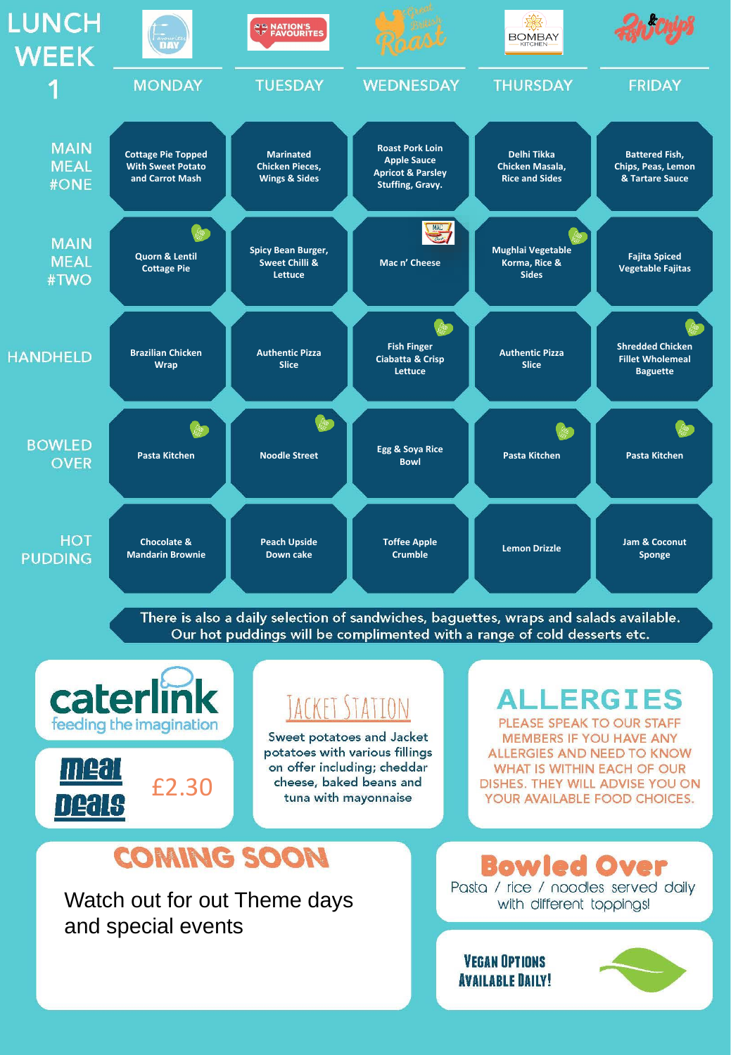

There is also a daily selection of sandwiches, baguettes, wraps and salads available. Our hot puddings will be complimented with a range of cold desserts etc.



Watch out for out Theme days and special events

Pasta / rice / noodles served daily with different toppings!

**VEGAN OPTIONS AVAILABLE DAILY!** 

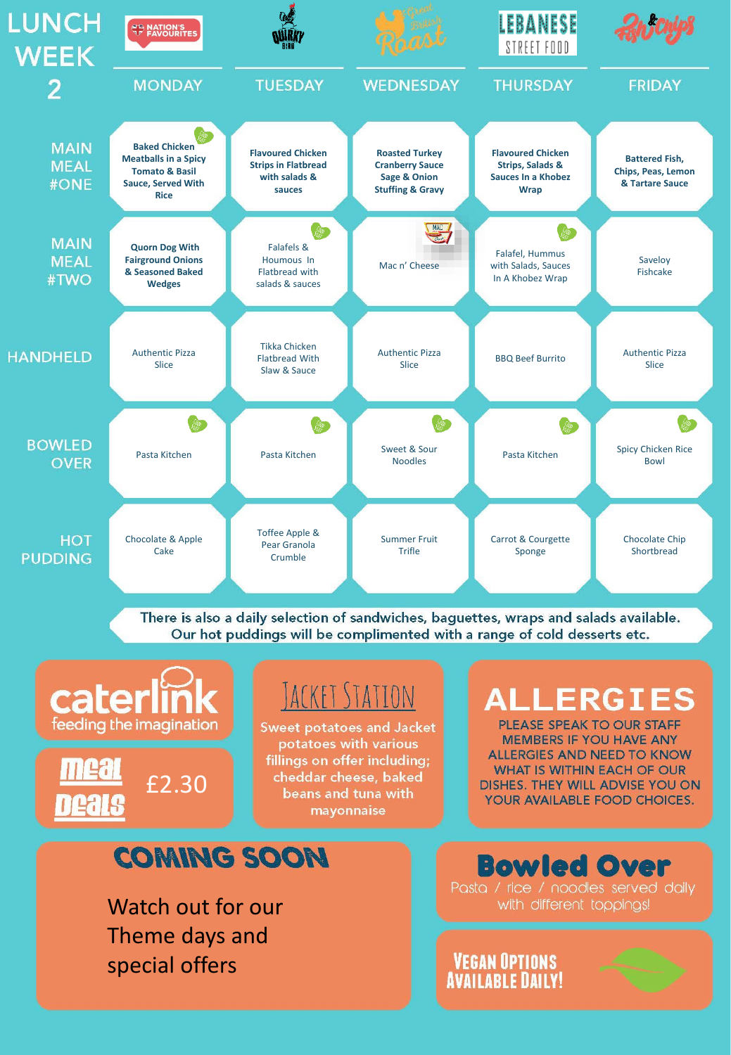

There is also a daily selection of sandwiches, baguettes, wraps and salads available. Our hot puddings will be complimented with a range of cold desserts etc.



special offers

**VEGAN OPTIONS AVAILABLE DAILY!**